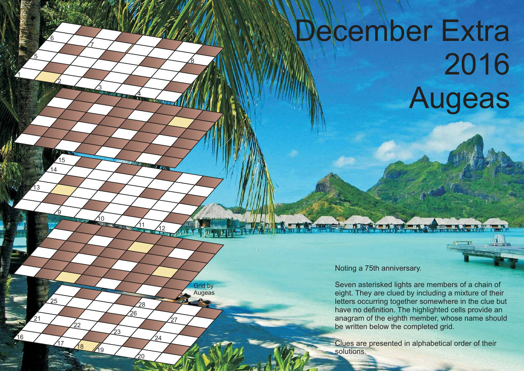## December Extra 2016 Augeas

1

5

13

16

21

25

2

<u>و</u>

14 15

<u>6</u>

3

10

17 18 /19

22

7

4

 $12$ 

**RANDARY** 

27

Grid by **Augeas** 

**SUMMER** 

 $\mathcal{L}_{24}$ 

20

.<br>የ .<br>28

23

8

Noting a 75th anniversary.

Seven asterisked lights are members of a chain of eight. They are clued by including a mixture of their letters occurring together somewhere in the clue but have no definition. The highlighted cells provide an anagram of the eighth member, whose name should be written below the completed grid.

Clues are presented in alphabetical order of their **solutions**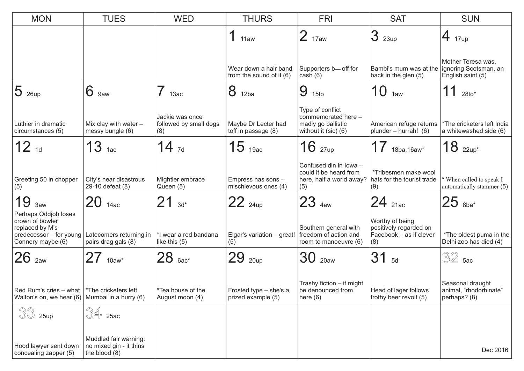| <b>MON</b>                                                                                                 | <b>TUES</b>                                                       | <b>WED</b>                                       | <b>THURS</b>                                      | <b>FRI</b>                                                                            | <b>SAT</b>                                                                  | <b>SUN</b>                                                       |  |
|------------------------------------------------------------------------------------------------------------|-------------------------------------------------------------------|--------------------------------------------------|---------------------------------------------------|---------------------------------------------------------------------------------------|-----------------------------------------------------------------------------|------------------------------------------------------------------|--|
|                                                                                                            |                                                                   |                                                  | 11aw                                              | $2_{17aw}$                                                                            | 3<br>23up                                                                   | $\overline{4}$ 17up                                              |  |
|                                                                                                            |                                                                   |                                                  | Wear down a hair band<br>from the sound of it (6) | Supporters b-off for<br>cash $(6)$                                                    | Bambi's mum was at the<br>back in the glen (5)                              | Mother Teresa was,<br>ignoring Scotsman, an<br>English saint (5) |  |
| $ 5 $ 26up                                                                                                 | 6<br>9aw                                                          | 13ac                                             | 8<br>12ba                                         | 9<br>15to                                                                             | 10 <sub>1aw</sub>                                                           | 11<br>$28to$ *                                                   |  |
| Luthier in dramatic<br>circumstances (5)                                                                   | Mix clay with water $-$<br>messy bungle (6)                       | Jackie was once<br>followed by small dogs<br>(8) | Maybe Dr Lecter had<br>toff in passage (8)        | Type of conflict<br>commemorated here -<br>madly go ballistic<br>without it (sic) (6) | American refuge returns<br>plunder - hurrah! (6)                            | *The cricketers left India<br>a whitewashed side (6)             |  |
| $12_{1d}$                                                                                                  | $13$ 1ac                                                          | $14_{7d}$                                        | $15$ 19ac                                         | $16$ $_{27up}$                                                                        | 17<br>18ba, 16aw*                                                           | $18$ $_{22up*}$                                                  |  |
| Greeting 50 in chopper<br>(5)                                                                              | City's near disastrous<br>29-10 defeat (8)                        | Mightier embrace<br>Queen (5)                    | Empress has sons -<br>mischievous ones (4)        | Confused din in lowa -<br>could it be heard from<br>here, half a world away?<br>(5)   | *Tribesmen make wool<br>hats for the tourist trade<br>(9)                   | * When called to speak I<br>automatically stammer (5)            |  |
| 19<br>3aw                                                                                                  | $20$ 14ac                                                         | $21_{3d^*}$                                      | $22_{24up}$                                       | $23$ $48W$                                                                            | $24$ 21ac                                                                   | $25$ $8ba*$                                                      |  |
| Perhaps Oddjob loses<br>crown of bowler<br>replaced by M's<br>predecessor - for young<br>Connery maybe (6) | Latecomers returning in<br>pairs drag gals (8)                    | *I wear a red bandana<br>like this (5)           | Elgar's variation - great!<br>(5)                 | Southern general with<br>freedom of action and<br>room to manoeuvre (6)               | Worthy of being<br>positively regarded on<br>Facebook - as if clever<br>(8) | *The oldest puma in the<br>Delhi zoo has died (4)                |  |
| $26$ $_{2}$                                                                                                | $27$ 10aw*                                                        | $28$ $6ac^*$                                     | 29<br>20up                                        | $30$ $_{20aw}$                                                                        | 31<br>5d                                                                    | $32$ 5ac                                                         |  |
| Red Rum's cries – what $\vert$ *The cricketers left<br>Walton's on, we hear $(6)$ Mumbai in a hurry $(6)$  |                                                                   | *Tea house of the<br>August moon (4)             | Frosted type - she's a<br>prized example (5)      | Trashy fiction - it might<br>be denounced from<br>here $(6)$                          | Head of lager follows<br>frothy beer revolt (5)                             | Seasonal draught<br>animal, "rhodorhinate"<br>perhaps? (8)       |  |
| 33<br>25up                                                                                                 | $34$ 25ac                                                         |                                                  |                                                   |                                                                                       |                                                                             |                                                                  |  |
| Hood lawyer sent down<br>concealing zapper (5)                                                             | Muddled fair warning:<br>no mixed gin - it thins<br>the blood (8) |                                                  |                                                   |                                                                                       |                                                                             | Dec 2016                                                         |  |